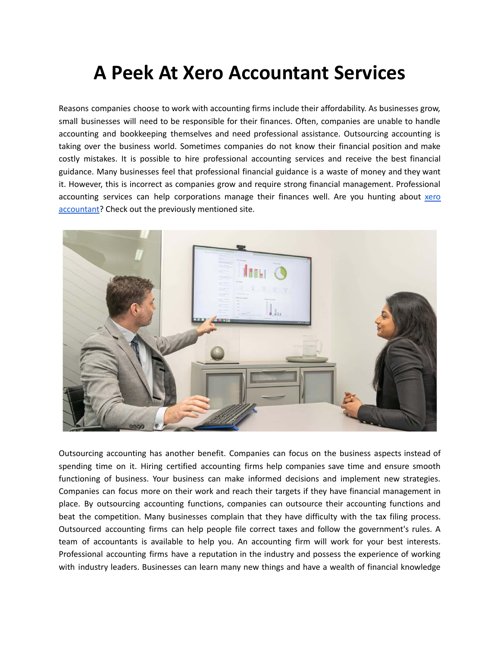## **A Peek At Xero Accountant Services**

Reasons companies choose to work with accounting firms include their affordability. As businesses grow, small businesses will need to be responsible for their finances. Often, companies are unable to handle accounting and bookkeeping themselves and need professional assistance. Outsourcing accounting is taking over the business world. Sometimes companies do not know their financial position and make costly mistakes. It is possible to hire professional accounting services and receive the best financial guidance. Many businesses feel that professional financial guidance is a waste of money and they want it. However, this is incorrect as companies grow and require strong financial management. Professional accounting services can help corporations manage their finances well. Are you hunting about [xero](https://www.unicornaccountants.co.uk/what-we-do/xero-online-accounting) [accountant?](https://www.unicornaccountants.co.uk/what-we-do/xero-online-accounting) Check out the previously mentioned site.



Outsourcing accounting has another benefit. Companies can focus on the business aspects instead of spending time on it. Hiring certified accounting firms help companies save time and ensure smooth functioning of business. Your business can make informed decisions and implement new strategies. Companies can focus more on their work and reach their targets if they have financial management in place. By outsourcing accounting functions, companies can outsource their accounting functions and beat the competition. Many businesses complain that they have difficulty with the tax filing process. Outsourced accounting firms can help people file correct taxes and follow the government's rules. A team of accountants is available to help you. An accounting firm will work for your best interests. Professional accounting firms have a reputation in the industry and possess the experience of working with industry leaders. Businesses can learn many new things and have a wealth of financial knowledge